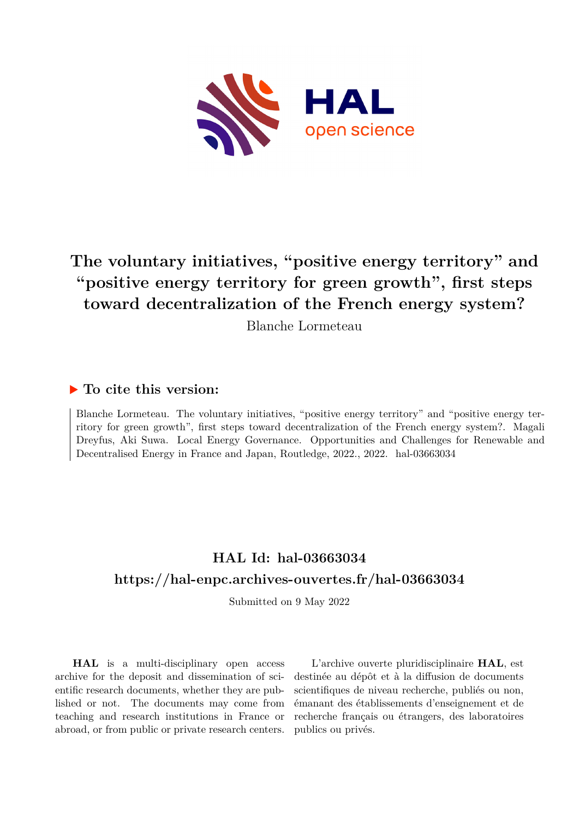

# **The voluntary initiatives, "positive energy territory" and "positive energy territory for green growth", first steps toward decentralization of the French energy system?**

Blanche Lormeteau

#### **To cite this version:**

Blanche Lormeteau. The voluntary initiatives, "positive energy territory" and "positive energy territory for green growth", first steps toward decentralization of the French energy system?. Magali Dreyfus, Aki Suwa. Local Energy Governance. Opportunities and Challenges for Renewable and Decentralised Energy in France and Japan, Routledge, 2022., 2022. hal-03663034

## **HAL Id: hal-03663034 <https://hal-enpc.archives-ouvertes.fr/hal-03663034>**

Submitted on 9 May 2022

**HAL** is a multi-disciplinary open access archive for the deposit and dissemination of scientific research documents, whether they are published or not. The documents may come from teaching and research institutions in France or abroad, or from public or private research centers.

L'archive ouverte pluridisciplinaire **HAL**, est destinée au dépôt et à la diffusion de documents scientifiques de niveau recherche, publiés ou non, émanant des établissements d'enseignement et de recherche français ou étrangers, des laboratoires publics ou privés.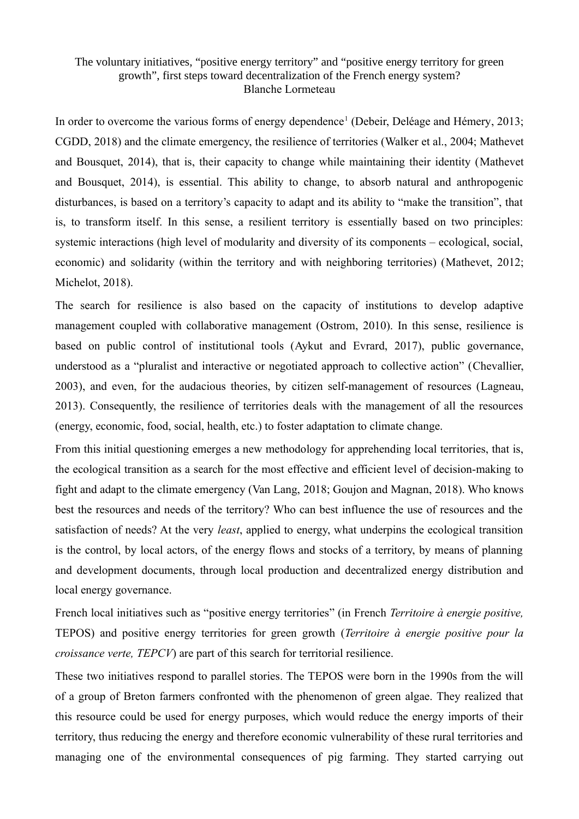#### The voluntary initiatives, "positive energy territory" and "positive energy territory for green growth", first steps toward decentralization of the French energy system? Blanche Lormeteau

In order to overcome the various forms of energy dependence<sup>1</sup> (Debeir, Deléage and Hémery, 2013; CGDD, 2018) and the climate emergency, the resilience of territories (Walker et al., 2004; Mathevet and Bousquet, 2014), that is, their capacity to change while maintaining their identity (Mathevet and Bousquet, 2014), is essential. This ability to change, to absorb natural and anthropogenic disturbances, is based on a territory's capacity to adapt and its ability to "make the transition", that is, to transform itself. In this sense, a resilient territory is essentially based on two principles: systemic interactions (high level of modularity and diversity of its components – ecological, social, economic) and solidarity (within the territory and with neighboring territories) (Mathevet, 2012; Michelot, 2018).

The search for resilience is also based on the capacity of institutions to develop adaptive management coupled with collaborative management (Ostrom, 2010). In this sense, resilience is based on public control of institutional tools (Aykut and Evrard, 2017), public governance, understood as a "pluralist and interactive or negotiated approach to collective action" (Chevallier, 2003), and even, for the audacious theories, by citizen self-management of resources (Lagneau, 2013). Consequently, the resilience of territories deals with the management of all the resources (energy, economic, food, social, health, etc.) to foster adaptation to climate change.

From this initial questioning emerges a new methodology for apprehending local territories, that is, the ecological transition as a search for the most effective and efficient level of decision-making to fight and adapt to the climate emergency (Van Lang, 2018; Goujon and Magnan, 2018). Who knows best the resources and needs of the territory? Who can best influence the use of resources and the satisfaction of needs? At the very *least*, applied to energy, what underpins the ecological transition is the control, by local actors, of the energy flows and stocks of a territory, by means of planning and development documents, through local production and decentralized energy distribution and local energy governance.

French local initiatives such as "positive energy territories" (in French *Territoire à energie positive,* TEPOS) and positive energy territories for green growth (*Territoire à energie positive pour la croissance verte, TEPCV*) are part of this search for territorial resilience.

These two initiatives respond to parallel stories. The TEPOS were born in the 1990s from the will of a group of Breton farmers confronted with the phenomenon of green algae. They realized that this resource could be used for energy purposes, which would reduce the energy imports of their territory, thus reducing the energy and therefore economic vulnerability of these rural territories and managing one of the environmental consequences of pig farming. They started carrying out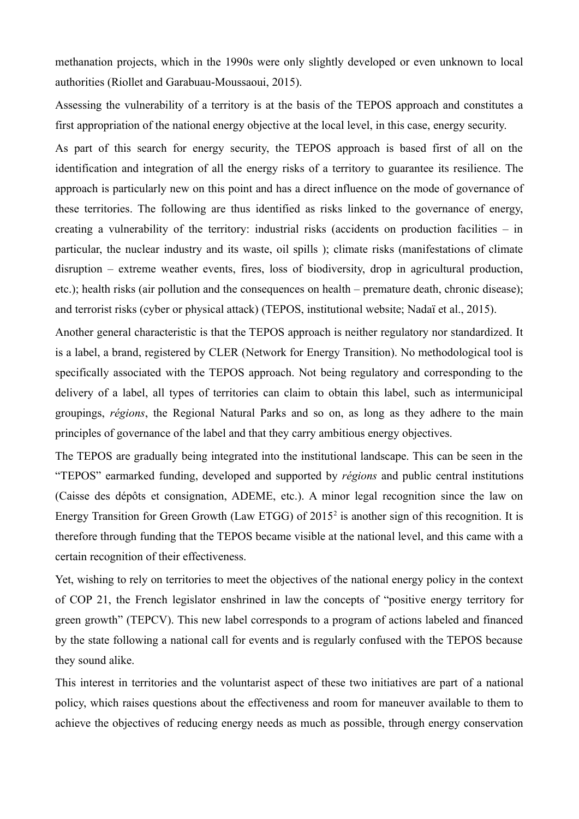methanation projects, which in the 1990s were only slightly developed or even unknown to local authorities (Riollet and Garabuau-Moussaoui, 2015).

Assessing the vulnerability of a territory is at the basis of the TEPOS approach and constitutes a first appropriation of the national energy objective at the local level, in this case, energy security.

As part of this search for energy security, the TEPOS approach is based first of all on the identification and integration of all the energy risks of a territory to guarantee its resilience. The approach is particularly new on this point and has a direct influence on the mode of governance of these territories. The following are thus identified as risks linked to the governance of energy, creating a vulnerability of the territory: industrial risks (accidents on production facilities – in particular, the nuclear industry and its waste, oil spills ); climate risks (manifestations of climate disruption – extreme weather events, fires, loss of biodiversity, drop in agricultural production, etc.); health risks (air pollution and the consequences on health – premature death, chronic disease); and terrorist risks (cyber or physical attack) (TEPOS, institutional website; Nadaï et al., 2015).

Another general characteristic is that the TEPOS approach is neither regulatory nor standardized. It is a label, a brand, registered by CLER (Network for Energy Transition). No methodological tool is specifically associated with the TEPOS approach. Not being regulatory and corresponding to the delivery of a label, all types of territories can claim to obtain this label, such as intermunicipal groupings, *régions*, the Regional Natural Parks and so on, as long as they adhere to the main principles of governance of the label and that they carry ambitious energy objectives.

The TEPOS are gradually being integrated into the institutional landscape. This can be seen in the "TEPOS" earmarked funding, developed and supported by *régions* and public central institutions (Caisse des dépôts et consignation, ADEME, etc.). A minor legal recognition since the law on Energy Transition for Green Growth (Law ETGG) of 2015<sup>2</sup> is another sign of this recognition. It is therefore through funding that the TEPOS became visible at the national level, and this came with a certain recognition of their effectiveness.

Yet, wishing to rely on territories to meet the objectives of the national energy policy in the context of COP 21, the French legislator enshrined in law the concepts of "positive energy territory for green growth" (TEPCV). This new label corresponds to a program of actions labeled and financed by the state following a national call for events and is regularly confused with the TEPOS because they sound alike.

This interest in territories and the voluntarist aspect of these two initiatives are part of a national policy, which raises questions about the effectiveness and room for maneuver available to them to achieve the objectives of reducing energy needs as much as possible, through energy conservation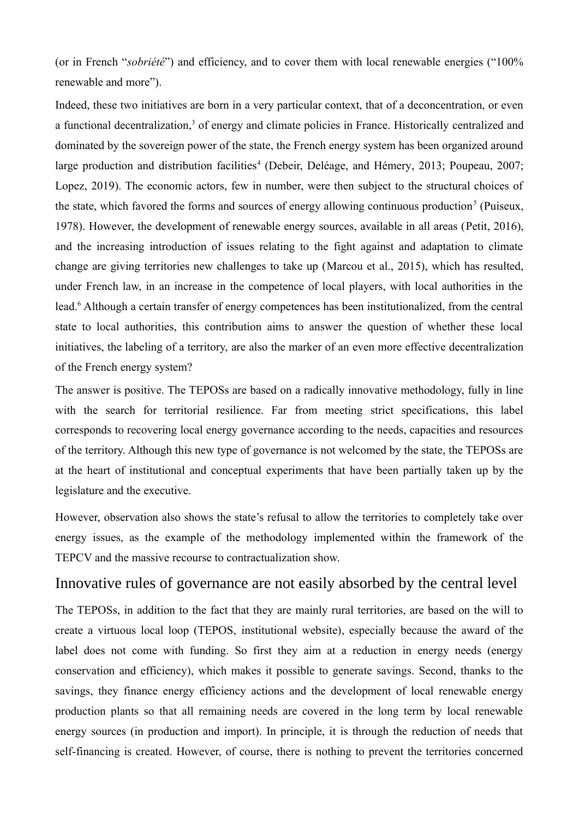(or in French "*sobriété*") and efficiency, and to cover them with local renewable energies ("100% renewable and more").

Indeed, these two initiatives are born in a very particular context, that of a deconcentration, or even a functional decentralization,<sup>3</sup> of energy and climate policies in France. Historically centralized and dominated by the sovereign power of the state, the French energy system has been organized around large production and distribution facilities<sup>4</sup> (Debeir, Deléage, and Hémery, 2013; Poupeau, 2007; Lopez, 2019). The economic actors, few in number, were then subject to the structural choices of the state, which favored the forms and sources of energy allowing continuous production<sup>5</sup> (Puiseux, 1978). However, the development of renewable energy sources, available in all areas (Petit, 2016), and the increasing introduction of issues relating to the fight against and adaptation to climate change are giving territories new challenges to take up (Marcou et al., 2015), which has resulted, under French law, in an increase in the competence of local players, with local authorities in the lead.<sup>6</sup> Although a certain transfer of energy competences has been institutionalized, from the central state to local authorities, this contribution aims to answer the question of whether these local initiatives, the labeling of a territory, are also the marker of an even more effective decentralization of the French energy system?

The answer is positive. The TEPOSs are based on a radically innovative methodology, fully in line with the search for territorial resilience. Far from meeting strict specifications, this label corresponds to recovering local energy governance according to the needs, capacities and resources of the territory. Although this new type of governance is not welcomed by the state, the TEPOSs are at the heart of institutional and conceptual experiments that have been partially taken up by the legislature and the executive.

However, observation also shows the state's refusal to allow the territories to completely take over energy issues, as the example of the methodology implemented within the framework of the TEPCV and the massive recourse to contractualization show.

#### Innovative rules of governance are not easily absorbed by the central level

The TEPOSs, in addition to the fact that they are mainly rural territories, are based on the will to create a virtuous local loop (TEPOS, institutional website), especially because the award of the label does not come with funding. So first they aim at a reduction in energy needs (energy conservation and efficiency), which makes it possible to generate savings. Second, thanks to the savings, they finance energy efficiency actions and the development of local renewable energy production plants so that all remaining needs are covered in the long term by local renewable energy sources (in production and import). In principle, it is through the reduction of needs that self-financing is created. However, of course, there is nothing to prevent the territories concerned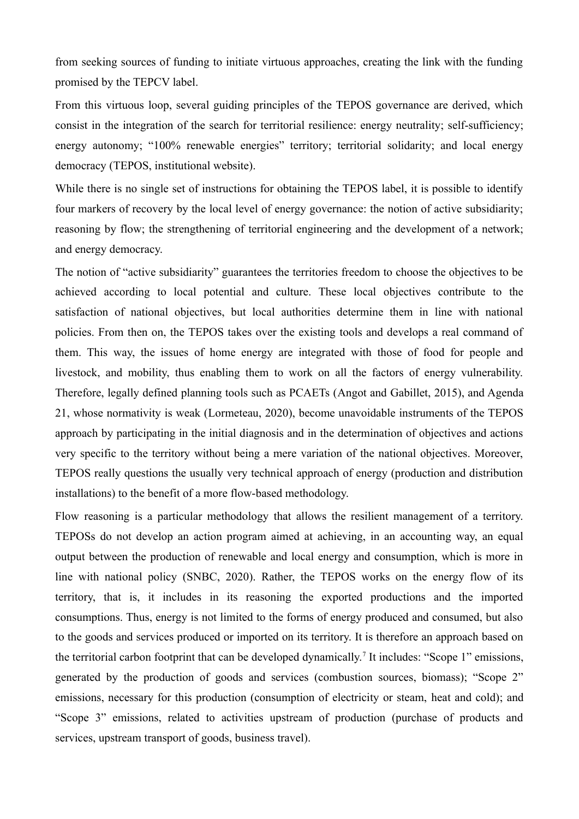from seeking sources of funding to initiate virtuous approaches, creating the link with the funding promised by the TEPCV label.

From this virtuous loop, several guiding principles of the TEPOS governance are derived, which consist in the integration of the search for territorial resilience: energy neutrality; self-sufficiency; energy autonomy; "100% renewable energies" territory; territorial solidarity; and local energy democracy (TEPOS, institutional website).

While there is no single set of instructions for obtaining the TEPOS label, it is possible to identify four markers of recovery by the local level of energy governance: the notion of active subsidiarity; reasoning by flow; the strengthening of territorial engineering and the development of a network; and energy democracy.

The notion of "active subsidiarity" guarantees the territories freedom to choose the objectives to be achieved according to local potential and culture. These local objectives contribute to the satisfaction of national objectives, but local authorities determine them in line with national policies. From then on, the TEPOS takes over the existing tools and develops a real command of them. This way, the issues of home energy are integrated with those of food for people and livestock, and mobility, thus enabling them to work on all the factors of energy vulnerability. Therefore, legally defined planning tools such as PCAETs (Angot and Gabillet, 2015), and Agenda 21, whose normativity is weak (Lormeteau, 2020), become unavoidable instruments of the TEPOS approach by participating in the initial diagnosis and in the determination of objectives and actions very specific to the territory without being a mere variation of the national objectives. Moreover, TEPOS really questions the usually very technical approach of energy (production and distribution installations) to the benefit of a more flow-based methodology.

Flow reasoning is a particular methodology that allows the resilient management of a territory. TEPOSs do not develop an action program aimed at achieving, in an accounting way, an equal output between the production of renewable and local energy and consumption, which is more in line with national policy (SNBC, 2020). Rather, the TEPOS works on the energy flow of its territory, that is, it includes in its reasoning the exported productions and the imported consumptions. Thus, energy is not limited to the forms of energy produced and consumed, but also to the goods and services produced or imported on its territory. It is therefore an approach based on the territorial carbon footprint that can be developed dynamically.<sup>7</sup> It includes: "Scope 1" emissions, generated by the production of goods and services (combustion sources, biomass); "Scope 2" emissions, necessary for this production (consumption of electricity or steam, heat and cold); and "Scope 3" emissions, related to activities upstream of production (purchase of products and services, upstream transport of goods, business travel).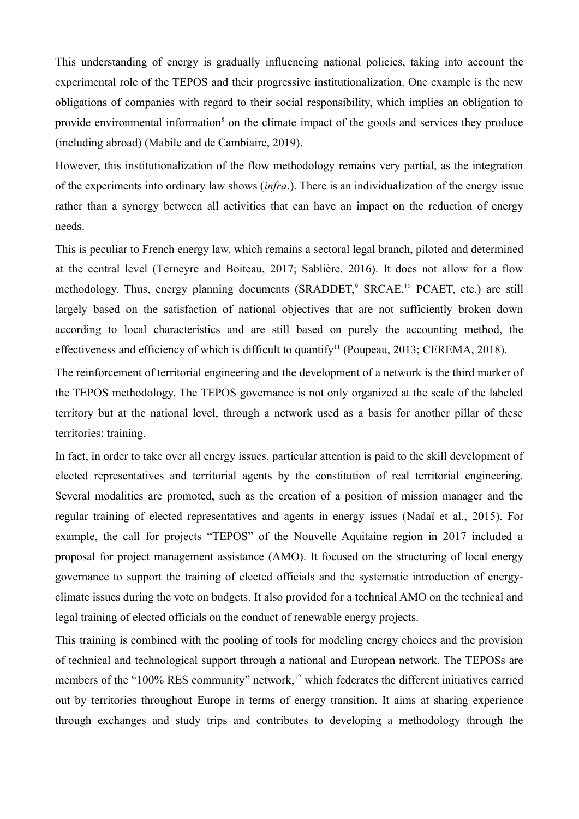This understanding of energy is gradually influencing national policies, taking into account the experimental role of the TEPOS and their progressive institutionalization. One example is the new obligations of companies with regard to their social responsibility, which implies an obligation to provide environmental information<sup>8</sup> on the climate impact of the goods and services they produce (including abroad) (Mabile and de Cambiaire, 2019).

However, this institutionalization of the flow methodology remains very partial, as the integration of the experiments into ordinary law shows (*infra*.). There is an individualization of the energy issue rather than a synergy between all activities that can have an impact on the reduction of energy needs.

This is peculiar to French energy law, which remains a sectoral legal branch, piloted and determined at the central level (Terneyre and Boiteau, 2017; Sablière, 2016). It does not allow for a flow methodology. Thus, energy planning documents (SRADDET,<sup>9</sup> SRCAE,<sup>10</sup> PCAET, etc.) are still largely based on the satisfaction of national objectives that are not sufficiently broken down according to local characteristics and are still based on purely the accounting method, the effectiveness and efficiency of which is difficult to quantify<sup>11</sup> (Poupeau, 2013; CEREMA, 2018).

The reinforcement of territorial engineering and the development of a network is the third marker of the TEPOS methodology. The TEPOS governance is not only organized at the scale of the labeled territory but at the national level, through a network used as a basis for another pillar of these territories: training.

In fact, in order to take over all energy issues, particular attention is paid to the skill development of elected representatives and territorial agents by the constitution of real territorial engineering. Several modalities are promoted, such as the creation of a position of mission manager and the regular training of elected representatives and agents in energy issues (Nadaï et al., 2015). For example, the call for projects "TEPOS" of the Nouvelle Aquitaine region in 2017 included a proposal for project management assistance (AMO). It focused on the structuring of local energy governance to support the training of elected officials and the systematic introduction of energyclimate issues during the vote on budgets. It also provided for a technical AMO on the technical and legal training of elected officials on the conduct of renewable energy projects.

This training is combined with the pooling of tools for modeling energy choices and the provision of technical and technological support through a national and European network. The TEPOSs are members of the "100% RES community" network,<sup>12</sup> which federates the different initiatives carried out by territories throughout Europe in terms of energy transition. It aims at sharing experience through exchanges and study trips and contributes to developing a methodology through the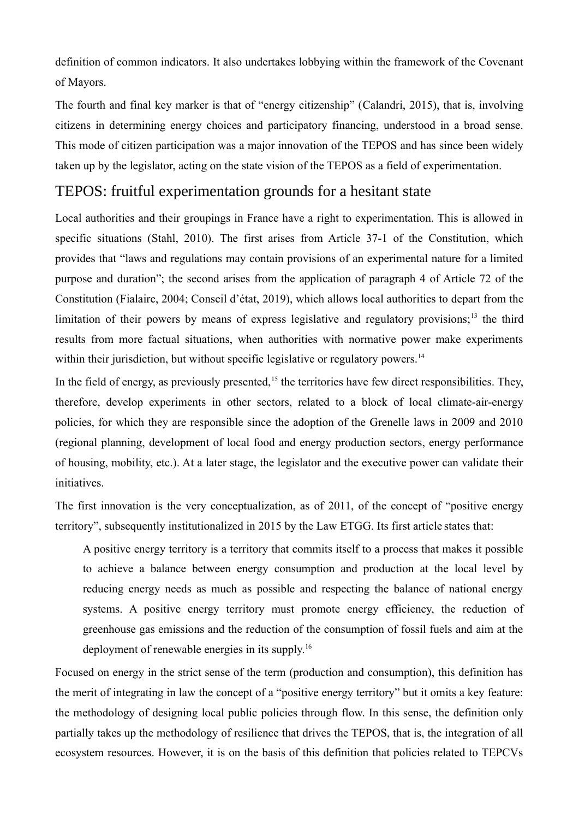definition of common indicators. It also undertakes lobbying within the framework of the Covenant of Mayors.

The fourth and final key marker is that of "energy citizenship" (Calandri, 2015), that is, involving citizens in determining energy choices and participatory financing, understood in a broad sense. This mode of citizen participation was a major innovation of the TEPOS and has since been widely taken up by the legislator, acting on the state vision of the TEPOS as a field of experimentation.

### TEPOS: fruitful experimentation grounds for a hesitant state

Local authorities and their groupings in France have a right to experimentation. This is allowed in specific situations (Stahl, 2010). The first arises from Article 37-1 of the Constitution, which provides that "laws and regulations may contain provisions of an experimental nature for a limited purpose and duration"; the second arises from the application of paragraph 4 of Article 72 of the Constitution (Fialaire, 2004; Conseil d'état, 2019), which allows local authorities to depart from the limitation of their powers by means of express legislative and regulatory provisions;<sup>13</sup> the third results from more factual situations, when authorities with normative power make experiments within their jurisdiction, but without specific legislative or regulatory powers.<sup>14</sup>

In the field of energy, as previously presented,<sup>15</sup> the territories have few direct responsibilities. They, therefore, develop experiments in other sectors, related to a block of local climate-air-energy policies, for which they are responsible since the adoption of the Grenelle laws in 2009 and 2010 (regional planning, development of local food and energy production sectors, energy performance of housing, mobility, etc.). At a later stage, the legislator and the executive power can validate their initiatives.

The first innovation is the very conceptualization, as of 2011, of the concept of "positive energy territory", subsequently institutionalized in 2015 by the Law ETGG. Its first article states that:

A positive energy territory is a territory that commits itself to a process that makes it possible to achieve a balance between energy consumption and production at the local level by reducing energy needs as much as possible and respecting the balance of national energy systems. A positive energy territory must promote energy efficiency, the reduction of greenhouse gas emissions and the reduction of the consumption of fossil fuels and aim at the deployment of renewable energies in its supply.<sup>16</sup>

Focused on energy in the strict sense of the term (production and consumption), this definition has the merit of integrating in law the concept of a "positive energy territory" but it omits a key feature: the methodology of designing local public policies through flow. In this sense, the definition only partially takes up the methodology of resilience that drives the TEPOS, that is, the integration of all ecosystem resources. However, it is on the basis of this definition that policies related to TEPCVs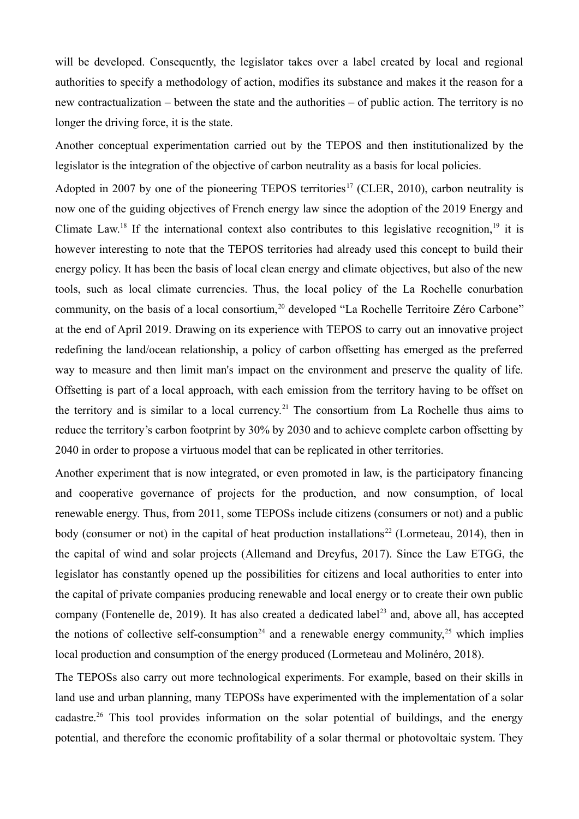will be developed. Consequently, the legislator takes over a label created by local and regional authorities to specify a methodology of action, modifies its substance and makes it the reason for a new contractualization – between the state and the authorities – of public action. The territory is no longer the driving force, it is the state.

Another conceptual experimentation carried out by the TEPOS and then institutionalized by the legislator is the integration of the objective of carbon neutrality as a basis for local policies.

Adopted in 2007 by one of the pioneering TEPOS territories<sup>17</sup> (CLER, 2010), carbon neutrality is now one of the guiding objectives of French energy law since the adoption of the 2019 Energy and Climate Law.<sup>18</sup> If the international context also contributes to this legislative recognition, <sup>19</sup> it is however interesting to note that the TEPOS territories had already used this concept to build their energy policy. It has been the basis of local clean energy and climate objectives, but also of the new tools, such as local climate currencies. Thus, the local policy of the La Rochelle conurbation community, on the basis of a local consortium,<sup>20</sup> developed "La Rochelle Territoire Zéro Carbone" at the end of April 2019. Drawing on its experience with TEPOS to carry out an innovative project redefining the land/ocean relationship, a policy of carbon offsetting has emerged as the preferred way to measure and then limit man's impact on the environment and preserve the quality of life. Offsetting is part of a local approach, with each emission from the territory having to be offset on the territory and is similar to a local currency.<sup>21</sup> The consortium from La Rochelle thus aims to reduce the territory's carbon footprint by 30% by 2030 and to achieve complete carbon offsetting by 2040 in order to propose a virtuous model that can be replicated in other territories.

Another experiment that is now integrated, or even promoted in law, is the participatory financing and cooperative governance of projects for the production, and now consumption, of local renewable energy. Thus, from 2011, some TEPOSs include citizens (consumers or not) and a public body (consumer or not) in the capital of heat production installations<sup>22</sup> (Lormeteau, 2014), then in the capital of wind and solar projects (Allemand and Dreyfus, 2017). Since the Law ETGG, the legislator has constantly opened up the possibilities for citizens and local authorities to enter into the capital of private companies producing renewable and local energy or to create their own public company (Fontenelle de, 2019). It has also created a dedicated label<sup>23</sup> and, above all, has accepted the notions of collective self-consumption<sup>24</sup> and a renewable energy community,<sup>25</sup> which implies local production and consumption of the energy produced (Lormeteau and Molinéro, 2018).

The TEPOSs also carry out more technological experiments. For example, based on their skills in land use and urban planning, many TEPOSs have experimented with the implementation of a solar cadastre.<sup>26</sup> This tool provides information on the solar potential of buildings, and the energy potential, and therefore the economic profitability of a solar thermal or photovoltaic system. They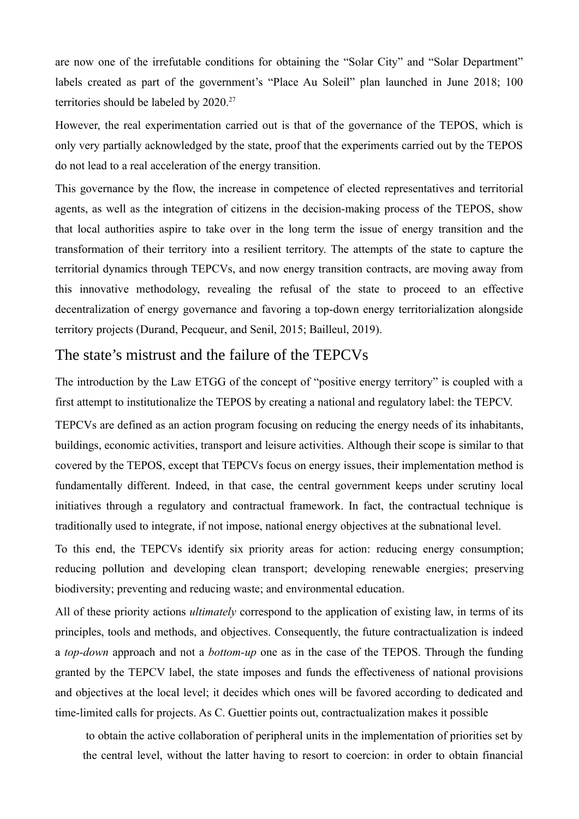are now one of the irrefutable conditions for obtaining the "Solar City" and "Solar Department" labels created as part of the government's "Place Au Soleil" plan launched in June 2018; 100 territories should be labeled by  $2020.^{27}$ 

However, the real experimentation carried out is that of the governance of the TEPOS, which is only very partially acknowledged by the state, proof that the experiments carried out by the TEPOS do not lead to a real acceleration of the energy transition.

This governance by the flow, the increase in competence of elected representatives and territorial agents, as well as the integration of citizens in the decision-making process of the TEPOS, show that local authorities aspire to take over in the long term the issue of energy transition and the transformation of their territory into a resilient territory. The attempts of the state to capture the territorial dynamics through TEPCVs, and now energy transition contracts, are moving away from this innovative methodology, revealing the refusal of the state to proceed to an effective decentralization of energy governance and favoring a top-down energy territorialization alongside territory projects (Durand, Pecqueur, and Senil, 2015; Bailleul, 2019).

### The state's mistrust and the failure of the TEPCVs

The introduction by the Law ETGG of the concept of "positive energy territory" is coupled with a first attempt to institutionalize the TEPOS by creating a national and regulatory label: the TEPCV.

TEPCVs are defined as an action program focusing on reducing the energy needs of its inhabitants, buildings, economic activities, transport and leisure activities. Although their scope is similar to that covered by the TEPOS, except that TEPCVs focus on energy issues, their implementation method is fundamentally different. Indeed, in that case, the central government keeps under scrutiny local initiatives through a regulatory and contractual framework. In fact, the contractual technique is traditionally used to integrate, if not impose, national energy objectives at the subnational level.

To this end, the TEPCVs identify six priority areas for action: reducing energy consumption; reducing pollution and developing clean transport; developing renewable energies; preserving biodiversity; preventing and reducing waste; and environmental education.

All of these priority actions *ultimately* correspond to the application of existing law, in terms of its principles, tools and methods, and objectives. Consequently, the future contractualization is indeed a *top-down* approach and not a *bottom-up* one as in the case of the TEPOS. Through the funding granted by the TEPCV label, the state imposes and funds the effectiveness of national provisions and objectives at the local level; it decides which ones will be favored according to dedicated and time-limited calls for projects. As C. Guettier points out, contractualization makes it possible

 to obtain the active collaboration of peripheral units in the implementation of priorities set by the central level, without the latter having to resort to coercion: in order to obtain financial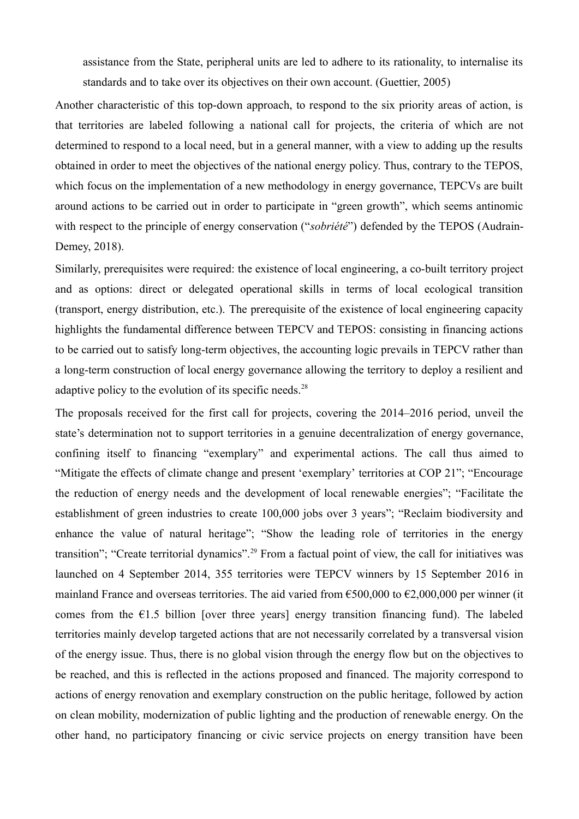assistance from the State, peripheral units are led to adhere to its rationality, to internalise its standards and to take over its objectives on their own account. (Guettier, 2005)

Another characteristic of this top-down approach, to respond to the six priority areas of action, is that territories are labeled following a national call for projects, the criteria of which are not determined to respond to a local need, but in a general manner, with a view to adding up the results obtained in order to meet the objectives of the national energy policy. Thus, contrary to the TEPOS, which focus on the implementation of a new methodology in energy governance, TEPCVs are built around actions to be carried out in order to participate in "green growth", which seems antinomic with respect to the principle of energy conservation ("*sobriété*") defended by the TEPOS (Audrain-Demey, 2018).

Similarly, prerequisites were required: the existence of local engineering, a co-built territory project and as options: direct or delegated operational skills in terms of local ecological transition (transport, energy distribution, etc.). The prerequisite of the existence of local engineering capacity highlights the fundamental difference between TEPCV and TEPOS: consisting in financing actions to be carried out to satisfy long-term objectives, the accounting logic prevails in TEPCV rather than a long-term construction of local energy governance allowing the territory to deploy a resilient and adaptive policy to the evolution of its specific needs. $^{28}$ 

The proposals received for the first call for projects, covering the 2014–2016 period, unveil the state's determination not to support territories in a genuine decentralization of energy governance, confining itself to financing "exemplary" and experimental actions. The call thus aimed to "Mitigate the effects of climate change and present 'exemplary' territories at COP 21"; "Encourage the reduction of energy needs and the development of local renewable energies"; "Facilitate the establishment of green industries to create 100,000 jobs over 3 years"; "Reclaim biodiversity and enhance the value of natural heritage"; "Show the leading role of territories in the energy transition"; "Create territorial dynamics".<sup>29</sup> From a factual point of view, the call for initiatives was launched on 4 September 2014, 355 territories were TEPCV winners by 15 September 2016 in mainland France and overseas territories. The aid varied from  $\epsilon$ 500,000 to  $\epsilon$ 2,000,000 per winner (it comes from the  $E1.5$  billion [over three years] energy transition financing fund). The labeled territories mainly develop targeted actions that are not necessarily correlated by a transversal vision of the energy issue. Thus, there is no global vision through the energy flow but on the objectives to be reached, and this is reflected in the actions proposed and financed. The majority correspond to actions of energy renovation and exemplary construction on the public heritage, followed by action on clean mobility, modernization of public lighting and the production of renewable energy. On the other hand, no participatory financing or civic service projects on energy transition have been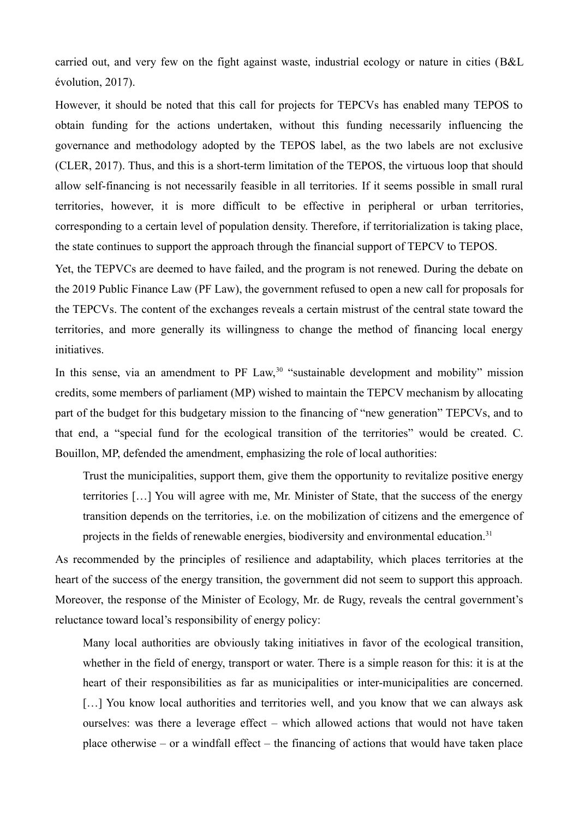carried out, and very few on the fight against waste, industrial ecology or nature in cities (B&L évolution, 2017).

However, it should be noted that this call for projects for TEPCVs has enabled many TEPOS to obtain funding for the actions undertaken, without this funding necessarily influencing the governance and methodology adopted by the TEPOS label, as the two labels are not exclusive (CLER, 2017). Thus, and this is a short-term limitation of the TEPOS, the virtuous loop that should allow self-financing is not necessarily feasible in all territories. If it seems possible in small rural territories, however, it is more difficult to be effective in peripheral or urban territories, corresponding to a certain level of population density. Therefore, if territorialization is taking place, the state continues to support the approach through the financial support of TEPCV to TEPOS.

Yet, the TEPVCs are deemed to have failed, and the program is not renewed. During the debate on the 2019 Public Finance Law (PF Law), the government refused to open a new call for proposals for the TEPCVs. The content of the exchanges reveals a certain mistrust of the central state toward the territories, and more generally its willingness to change the method of financing local energy initiatives.

In this sense, via an amendment to PF Law,  $30$  "sustainable development and mobility" mission credits, some members of parliament (MP) wished to maintain the TEPCV mechanism by allocating part of the budget for this budgetary mission to the financing of "new generation" TEPCVs, and to that end, a "special fund for the ecological transition of the territories" would be created. C. Bouillon, MP, defended the amendment, emphasizing the role of local authorities:

Trust the municipalities, support them, give them the opportunity to revitalize positive energy territories […] You will agree with me, Mr. Minister of State, that the success of the energy transition depends on the territories, i.e. on the mobilization of citizens and the emergence of projects in the fields of renewable energies, biodiversity and environmental education.<sup>31</sup>

As recommended by the principles of resilience and adaptability, which places territories at the heart of the success of the energy transition, the government did not seem to support this approach. Moreover, the response of the Minister of Ecology, Mr. de Rugy, reveals the central government's reluctance toward local's responsibility of energy policy:

Many local authorities are obviously taking initiatives in favor of the ecological transition, whether in the field of energy, transport or water. There is a simple reason for this: it is at the heart of their responsibilities as far as municipalities or inter-municipalities are concerned. [...] You know local authorities and territories well, and you know that we can always ask ourselves: was there a leverage effect – which allowed actions that would not have taken place otherwise – or a windfall effect – the financing of actions that would have taken place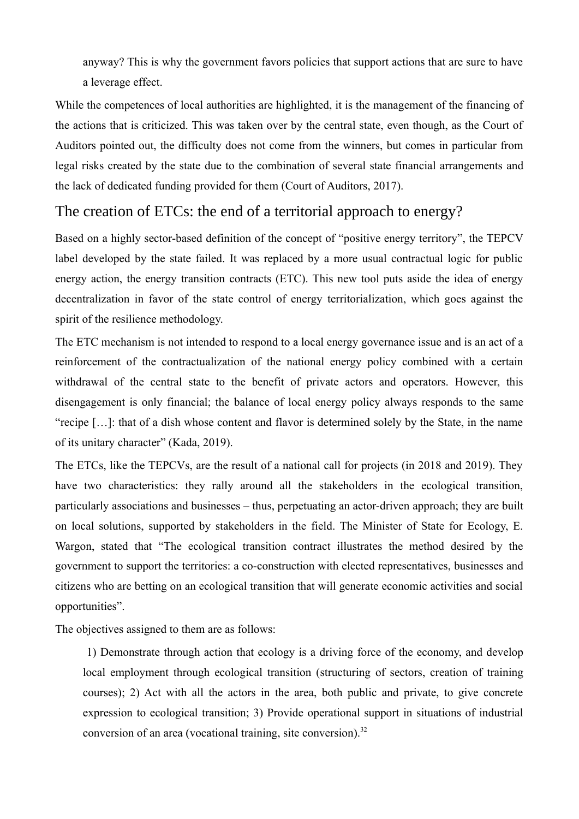anyway? This is why the government favors policies that support actions that are sure to have a leverage effect.

While the competences of local authorities are highlighted, it is the management of the financing of the actions that is criticized. This was taken over by the central state, even though, as the Court of Auditors pointed out, the difficulty does not come from the winners, but comes in particular from legal risks created by the state due to the combination of several state financial arrangements and the lack of dedicated funding provided for them (Court of Auditors, 2017).

#### The creation of ETCs: the end of a territorial approach to energy?

Based on a highly sector-based definition of the concept of "positive energy territory", the TEPCV label developed by the state failed. It was replaced by a more usual contractual logic for public energy action, the energy transition contracts (ETC). This new tool puts aside the idea of energy decentralization in favor of the state control of energy territorialization, which goes against the spirit of the resilience methodology.

The ETC mechanism is not intended to respond to a local energy governance issue and is an act of a reinforcement of the contractualization of the national energy policy combined with a certain withdrawal of the central state to the benefit of private actors and operators. However, this disengagement is only financial; the balance of local energy policy always responds to the same "recipe […]: that of a dish whose content and flavor is determined solely by the State, in the name of its unitary character" (Kada, 2019).

The ETCs, like the TEPCVs, are the result of a national call for projects (in 2018 and 2019). They have two characteristics: they rally around all the stakeholders in the ecological transition, particularly associations and businesses – thus, perpetuating an actor-driven approach; they are built on local solutions, supported by stakeholders in the field. The Minister of State for Ecology, E. Wargon, stated that "The ecological transition contract illustrates the method desired by the government to support the territories: a co-construction with elected representatives, businesses and citizens who are betting on an ecological transition that will generate economic activities and social opportunities".

The objectives assigned to them are as follows:

 1) Demonstrate through action that ecology is a driving force of the economy, and develop local employment through ecological transition (structuring of sectors, creation of training courses); 2) Act with all the actors in the area, both public and private, to give concrete expression to ecological transition; 3) Provide operational support in situations of industrial conversion of an area (vocational training, site conversion). $32$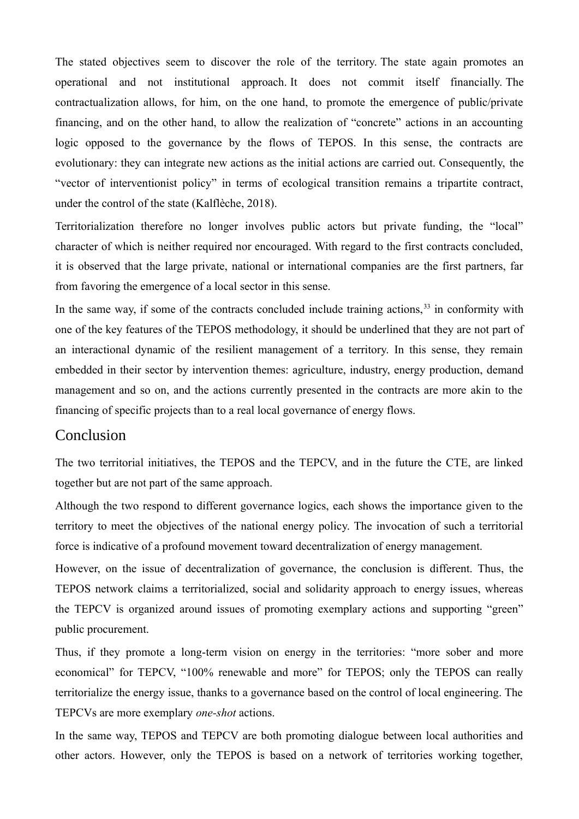The stated objectives seem to discover the role of the territory. The state again promotes an operational and not institutional approach. It does not commit itself financially. The contractualization allows, for him, on the one hand, to promote the emergence of public/private financing, and on the other hand, to allow the realization of "concrete" actions in an accounting logic opposed to the governance by the flows of TEPOS. In this sense, the contracts are evolutionary: they can integrate new actions as the initial actions are carried out. Consequently, the "vector of interventionist policy" in terms of ecological transition remains a tripartite contract, under the control of the state (Kalflèche, 2018).

Territorialization therefore no longer involves public actors but private funding, the "local" character of which is neither required nor encouraged. With regard to the first contracts concluded, it is observed that the large private, national or international companies are the first partners, far from favoring the emergence of a local sector in this sense.

In the same way, if some of the contracts concluded include training actions,<sup>33</sup> in conformity with one of the key features of the TEPOS methodology, it should be underlined that they are not part of an interactional dynamic of the resilient management of a territory. In this sense, they remain embedded in their sector by intervention themes: agriculture, industry, energy production, demand management and so on, and the actions currently presented in the contracts are more akin to the financing of specific projects than to a real local governance of energy flows.

#### Conclusion

The two territorial initiatives, the TEPOS and the TEPCV, and in the future the CTE, are linked together but are not part of the same approach.

Although the two respond to different governance logics, each shows the importance given to the territory to meet the objectives of the national energy policy. The invocation of such a territorial force is indicative of a profound movement toward decentralization of energy management.

However, on the issue of decentralization of governance, the conclusion is different. Thus, the TEPOS network claims a territorialized, social and solidarity approach to energy issues, whereas the TEPCV is organized around issues of promoting exemplary actions and supporting "green" public procurement.

Thus, if they promote a long-term vision on energy in the territories: "more sober and more economical" for TEPCV, "100% renewable and more" for TEPOS; only the TEPOS can really territorialize the energy issue, thanks to a governance based on the control of local engineering. The TEPCVs are more exemplary *one-shot* actions.

In the same way, TEPOS and TEPCV are both promoting dialogue between local authorities and other actors. However, only the TEPOS is based on a network of territories working together,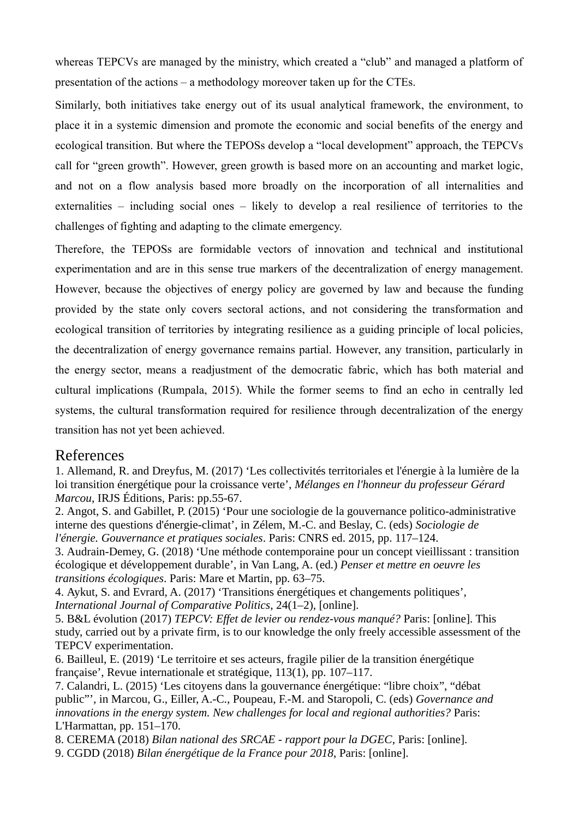whereas TEPCVs are managed by the ministry, which created a "club" and managed a platform of presentation of the actions – a methodology moreover taken up for the CTEs.

Similarly, both initiatives take energy out of its usual analytical framework, the environment, to place it in a systemic dimension and promote the economic and social benefits of the energy and ecological transition. But where the TEPOSs develop a "local development" approach, the TEPCVs call for "green growth". However, green growth is based more on an accounting and market logic, and not on a flow analysis based more broadly on the incorporation of all internalities and externalities – including social ones – likely to develop a real resilience of territories to the challenges of fighting and adapting to the climate emergency.

Therefore, the TEPOSs are formidable vectors of innovation and technical and institutional experimentation and are in this sense true markers of the decentralization of energy management. However, because the objectives of energy policy are governed by law and because the funding provided by the state only covers sectoral actions, and not considering the transformation and ecological transition of territories by integrating resilience as a guiding principle of local policies, the decentralization of energy governance remains partial. However, any transition, particularly in the energy sector, means a readjustment of the democratic fabric, which has both material and cultural implications (Rumpala, 2015). While the former seems to find an echo in centrally led systems, the cultural transformation required for resilience through decentralization of the energy transition has not yet been achieved.

#### References

1. Allemand, R. and Dreyfus, M. (2017) ʻLes collectivités territoriales et l'énergie à la lumière de la loi transition énergétique pour la croissance verte', *Mélanges en l'honneur du professeur Gérard Marcou*, IRJS Éditions, Paris: pp.55-67.

2. Angot, S. and Gabillet, P. (2015) ʻPour une sociologie de la gouvernance politico-administrative interne des questions d'énergie-climat', in Zélem, M.-C. and Beslay, C. (eds) *Sociologie de l'énergie. Gouvernance et pratiques sociales*. Paris: CNRS ed. 2015, pp. 117–124.

3. Audrain-Demey, G. (2018) ʻUne méthode contemporaine pour un concept vieillissant : transition écologique et développement durable', in Van Lang, A. (ed.) *Penser et mettre en oeuvre les transitions écologiques*. Paris: Mare et Martin, pp. 63–75.

4. Aykut, S. and Evrard, A. (2017) ʻTransitions énergétiques et changements politiques', *International Journal of Comparative Politics*, 24(1–2), [online].

5. B&L évolution (2017) *TEPCV: Effet de levier ou rendez-vous manqué?* Paris: [online]. This study, carried out by a private firm, is to our knowledge the only freely accessible assessment of the TEPCV experimentation.

6. Bailleul, E. (2019) ʻLe territoire et ses acteurs, fragile pilier de la transition énergétique française', Revue internationale et stratégique, 113(1), pp. 107–117.

7. Calandri, L. (2015) ʻLes citoyens dans la gouvernance énergétique: "libre choix", "débat public"', in Marcou, G., Eiller, A.-C., Poupeau, F.-M. and Staropoli, C. (eds) *Governance and innovations in the energy system. New challenges for local and regional authorities?* Paris: L'Harmattan, pp. 151–170.

8. CEREMA (2018) *Bilan national des SRCAE - rapport pour la DGEC*, Paris: [online]. 9. CGDD (2018) *Bilan énergétique de la France pour 2018*, Paris: [online].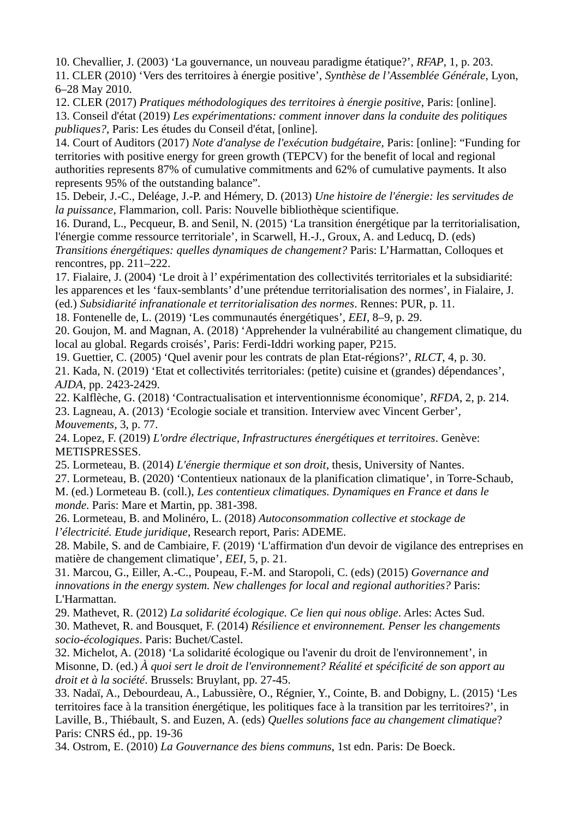10. Chevallier, J. (2003) ʻLa gouvernance, un nouveau paradigme étatique?', *RFAP*, 1, p. 203.

11. CLER (2010) ʻVers des territoires à énergie positive', *Synthèse de l'Assemblée Générale*, Lyon, 6–28 May 2010.

12. CLER (2017) *Pratiques méthodologiques des territoires à énergie positive*, Paris: [online]. 13. Conseil d'état (2019) *Les expérimentations: comment innover dans la conduite des politiques publiques?*, Paris: Les études du Conseil d'état, [online].

14. Court of Auditors (2017) *Note d'analyse de l'exécution budgétaire*, Paris: [online]: "Funding for territories with positive energy for green growth (TEPCV) for the benefit of local and regional authorities represents 87% of cumulative commitments and 62% of cumulative payments. It also represents 95% of the outstanding balance".

15. Debeir, J.-C., Deléage, J.-P. and Hémery, D. (2013) *Une histoire de l'énergie: les servitudes de la puissance*, Flammarion, coll. Paris: Nouvelle bibliothèque scientifique.

16. Durand, L., Pecqueur, B. and Senil, N. (2015) ʻLa transition énergétique par la territorialisation, l'énergie comme ressource territoriale', in Scarwell, H.-J., Groux, A. and Leducq, D. (eds) *Transitions énergétiques: quelles dynamiques de changement?* Paris: L'Harmattan, Colloques et rencontres, pp. 211–222.

17. Fialaire, J. (2004) ʻLe droit à l' expérimentation des collectivités territoriales et la subsidiarité: les apparences et les 'faux-semblants' d'une prétendue territorialisation des normes', in Fialaire, J. (ed.) *Subsidiarité infranationale et territorialisation des normes*. Rennes: PUR, p. 11.

18. Fontenelle de, L. (2019) ʻLes communautés énergétiques', *EEI*, 8–9, p. 29.

20. Goujon, M. and Magnan, A. (2018) ʻApprehender la vulnérabilité au changement climatique, du local au global. Regards croisés', Paris: Ferdi-Iddri working paper, P215.

19. Guettier, C. (2005) ʻQuel avenir pour les contrats de plan Etat-régions?', *RLCT*, 4, p. 30. 21. Kada, N. (2019) ʻEtat et collectivités territoriales: (petite) cuisine et (grandes) dépendances',

*AJDA*, pp. 2423-2429.

22. Kalflèche, G. (2018) ʻContractualisation et interventionnisme économique', *RFDA*, 2, p. 214. 23. Lagneau, A. (2013) ʻEcologie sociale et transition. Interview avec Vincent Gerber', *Mouvements*, 3, p. 77.

24. Lopez, F. (2019) *L'ordre électrique, Infrastructures énergétiques et territoires*. Genève: METISPRESSES.

25. Lormeteau, B. (2014) *L'énergie thermique et son droit*, thesis, University of Nantes.

27. Lormeteau, B. (2020) ʻContentieux nationaux de la planification climatique', in Torre-Schaub,

M. (ed.) Lormeteau B. (coll.), *Les contentieux climatiques. Dynamiques en France et dans le monde*. Paris: Mare et Martin, pp. 381-398.

26. Lormeteau, B. and Molinéro, L. (2018) *Autoconsommation collective et stockage de l'électricité. Etude juridique*, Research report, Paris: ADEME.

28. Mabile, S. and de Cambiaire, F. (2019) ʻL'affirmation d'un devoir de vigilance des entreprises en matière de changement climatique', *EEI*, 5, p. 21.

31. Marcou, G., Eiller, A.-C., Poupeau, F.-M. and Staropoli, C. (eds) (2015) *Governance and innovations in the energy system. New challenges for local and regional authorities?* Paris: L'Harmattan.

29. Mathevet, R. (2012) *La solidarité écologique. Ce lien qui nous oblige*. Arles: Actes Sud. 30. Mathevet, R. and Bousquet, F. (2014) *Résilience et environnement. Penser les changements socio-écologiques*. Paris: Buchet/Castel.

32. Michelot, A. (2018) ʻLa solidarité écologique ou l'avenir du droit de l'environnement', in Misonne, D. (ed.) *À quoi sert le droit de l'environnement? Réalité et spécificité de son apport au droit et à la société*. Brussels: Bruylant, pp. 27-45.

33. Nadaï, A., Debourdeau, A., Labussière, O., Régnier, Y., Cointe, B. and Dobigny, L. (2015) ʻLes territoires face à la transition énergétique, les politiques face à la transition par les territoires?', in Laville, B., Thiébault, S. and Euzen, A. (eds) *Quelles solutions face au changement climatique*? Paris: CNRS éd., pp. 19-36

34. Ostrom, E. (2010) *La Gouvernance des biens communs*, 1st edn. Paris: De Boeck.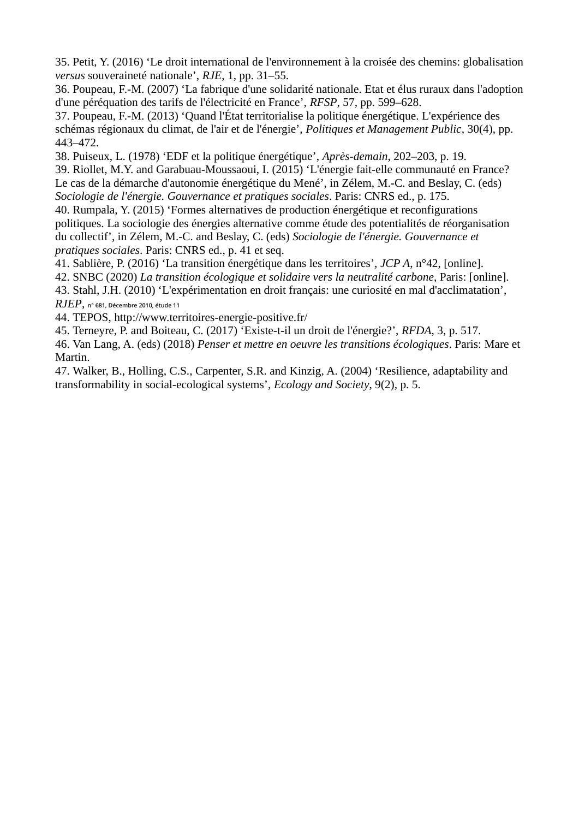35. Petit, Y. (2016) ʻLe droit international de l'environnement à la croisée des chemins: globalisation *versus* souveraineté nationale', *RJE*, 1, pp. 31–55.

36. Poupeau, F.-M. (2007) ʻLa fabrique d'une solidarité nationale. Etat et élus ruraux dans l'adoption d'une péréquation des tarifs de l'électricité en France', *RFSP*, 57, pp. 599–628.

37. Poupeau, F.-M. (2013) ʻQuand l'État territorialise la politique énergétique. L'expérience des schémas régionaux du climat, de l'air et de l'énergie', *Politiques et Management Public*, 30(4), pp. 443–472.

38. Puiseux, L. (1978) ʻEDF et la politique énergétique', *Après-demain*, 202–203, p. 19.

39. Riollet, M.Y. and Garabuau-Moussaoui, I. (2015) ʻL'énergie fait-elle communauté en France? Le cas de la démarche d'autonomie énergétique du Mené', in Zélem, M.-C. and Beslay, C. (eds) *Sociologie de l'énergie. Gouvernance et pratiques sociales*. Paris: CNRS ed., p. 175.

40. Rumpala, Y. (2015) ʻFormes alternatives de production énergétique et reconfigurations politiques. La sociologie des énergies alternative comme étude des potentialités de réorganisation du collectif', in Zélem, M.-C. and Beslay, C. (eds) *Sociologie de l'énergie. Gouvernance et pratiques sociales*. Paris: CNRS ed., p. 41 et seq.

41. Sablière, P. (2016) ʻLa transition énergétique dans les territoires', *JCP A*, n°42, [online].

42. SNBC (2020) *La transition écologique et solidaire vers la neutralité carbone*, Paris: [online].

43. Stahl, J.H. (2010) ʻL'expérimentation en droit français: une curiosité en mal d'acclimatation', *RJEP*, **n° 681, Décembre 2010, étude 11**

44. TEPOS, http://www.territoires-energie-positive.fr/

45. Terneyre, P. and Boiteau, C. (2017) ʻExiste-t-il un droit de l'énergie?', *RFDA*, 3, p. 517. 46. Van Lang, A. (eds) (2018) *Penser et mettre en oeuvre les transitions écologiques*. Paris: Mare et Martin.

47. Walker, B., Holling, C.S., Carpenter, S.R. and Kinzig, A. (2004) ʻResilience, adaptability and transformability in social-ecological systems', *Ecology and Society*, 9(2), p. 5.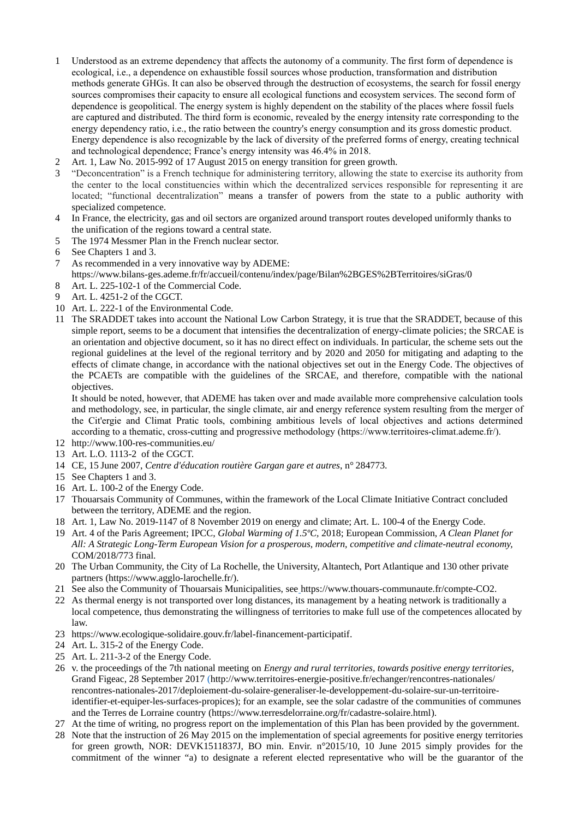- 1 Understood as an extreme dependency that affects the autonomy of a community. The first form of dependence is ecological, i.e., a dependence on exhaustible fossil sources whose production, transformation and distribution methods generate GHGs. It can also be observed through the destruction of ecosystems, the search for fossil energy sources compromises their capacity to ensure all ecological functions and ecosystem services. The second form of dependence is geopolitical. The energy system is highly dependent on the stability of the places where fossil fuels are captured and distributed. The third form is economic, revealed by the energy intensity rate corresponding to the energy dependency ratio, i.e., the ratio between the country's energy consumption and its gross domestic product. Energy dependence is also recognizable by the lack of diversity of the preferred forms of energy, creating technical and technological dependence; France's energy intensity was 46.4% in 2018.
- 2 Art. 1, Law No. 2015-992 of 17 August 2015 on energy transition for green growth.
- 3 "Deconcentration" is a French technique for administering territory, allowing the state to exercise its authority from the center to the local constituencies within which the decentralized services responsible for representing it are located; "functional decentralization" means a transfer of powers from the state to a public authority with specialized competence.
- 4 In France, the electricity, gas and oil sectors are organized around transport routes developed uniformly thanks to the unification of the regions toward a central state.
- 5 The 1974 Messmer Plan in the French nuclear sector.
- 6 See Chapters 1 and 3.
- 7 As recommended in a very innovative way by ADEME:
- https://www.bilans-ges.ademe.fr/fr/accueil/contenu/index/page/Bilan%2BGES%2BTerritoires/siGras/0
- 8 Art. L. 225-102-1 of the Commercial Code.
- 9 Art. L. 4251-2 of the CGCT.
- 10 Art. L. 222-1 of the Environmental Code.
- 11 The SRADDET takes into account the National Low Carbon Strategy, it is true that the SRADDET, because of this simple report, seems to be a document that intensifies the decentralization of energy-climate policies; the SRCAE is an orientation and objective document, so it has no direct effect on individuals. In particular, the scheme sets out the regional guidelines at the level of the regional territory and by 2020 and 2050 for mitigating and adapting to the effects of climate change, in accordance with the national objectives set out in the Energy Code. The objectives of the PCAETs are compatible with the guidelines of the SRCAE, and therefore, compatible with the national objectives.

It should be noted, however, that ADEME has taken over and made available more comprehensive calculation tools and methodology, see, in particular, the single climate, air and energy reference system resulting from the merger of the Cit'ergie and Climat Pratic tools, combining ambitious levels of local objectives and actions determined according to a thematic, cross-cutting and progressive methodology (https://www.territoires-climat.ademe.fr/).

- 12 http://www.100-res-communities.eu/
- 13 Art. L.O. 1113-2 of the CGCT.
- 14 CE, 15 June 2007, *Centre d'éducation routière Gargan gare et autres*, n° 284773.
- 15 See Chapters 1 and 3.
- 16 Art. L. 100-2 of the Energy Code.
- 17 Thouarsais Community of Communes, within the framework of the Local Climate Initiative Contract concluded between the territory, ADEME and the region.
- 18 Art. 1, Law No. 2019-1147 of 8 November 2019 on energy and climate; Art. L. 100-4 of the Energy Code.
- 19 Art. 4 of the Paris Agreement; IPCC, *Global Warming of 1.5ºC,* 2018; European Commission, *A Clean Planet for All: A Strategic Long-Term European Vision for a prosperous, modern, competitive and climate-neutral economy,* COM/2018/773 final.
- 20 The Urban Community, the City of La Rochelle, the University, Altantech, Port Atlantique and 130 other private partners (https://www.agglo-larochelle.fr/).
- 21 See also the Community of Thouarsais Municipalities, see https://www.thouars-communaute.fr/compte-CO2.
- 22 As thermal energy is not transported over long distances, its management by a heating network is traditionally a local competence, thus demonstrating the willingness of territories to make full use of the competences allocated by law.
- 23 https://www.ecologique-solidaire.gouv.fr/label-financement-participatif.
- 24 Art. L. 315-2 of the Energy Code.
- 25 Art. L. 211-3-2 of the Energy Code.
- 26 v. the proceedings of the 7th national meeting on *Energy and rural territories, towards positive energy territories,* Grand Figeac, 28 September 2017 (http://www.territoires-energie-positive.fr/echanger/rencontres-nationales/ rencontres-nationales-2017/deploiement-du-solaire-generaliser-le-developpement-du-solaire-sur-un-territoireidentifier-et-equiper-les-surfaces-propices); for an example, see the solar cadastre of the communities of communes and the Terres de Lorraine country (https://www.terresdelorraine.org/fr/cadastre-solaire.html).
- 27 At the time of writing, no progress report on the implementation of this Plan has been provided by the government.
- 28 Note that the instruction of 26 May 2015 on the implementation of special agreements for positive energy territories for green growth, NOR: DEVK1511837J, BO min. Envir. n°2015/10, 10 June 2015 simply provides for the commitment of the winner "a) to designate a referent elected representative who will be the guarantor of the